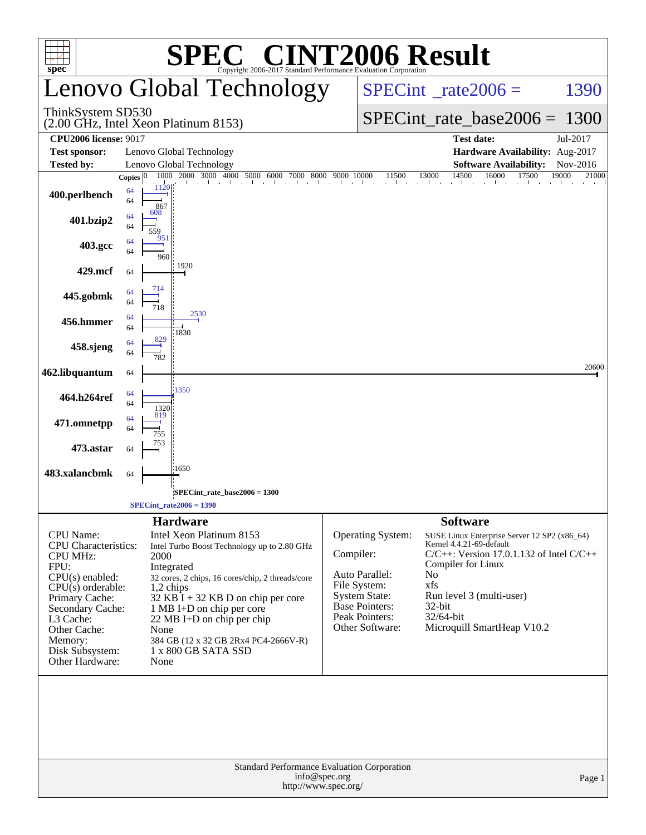|                                          |                                       | <b>SPEC<sup>®</sup> CINT2006 Result</b>                                                                                                                                                                                                                                                                     |                                                  |                                               |                                                                          |  |  |  |
|------------------------------------------|---------------------------------------|-------------------------------------------------------------------------------------------------------------------------------------------------------------------------------------------------------------------------------------------------------------------------------------------------------------|--------------------------------------------------|-----------------------------------------------|--------------------------------------------------------------------------|--|--|--|
| $spec^*$                                 |                                       | Copyright 2006-2017 Standard Performance Evaluation Corporation<br>Lenovo Global Technology                                                                                                                                                                                                                 | $SPECint^{\circ}$ <sub>_rate2006</sub> =<br>1390 |                                               |                                                                          |  |  |  |
| ThinkSystem SD530                        |                                       | (2.00 GHz, Intel Xeon Platinum 8153)                                                                                                                                                                                                                                                                        | $SPECint_rate_base2006 = 1300$                   |                                               |                                                                          |  |  |  |
| <b>CPU2006</b> license: 9017             |                                       |                                                                                                                                                                                                                                                                                                             |                                                  |                                               | <b>Test date:</b><br>Jul-2017                                            |  |  |  |
| <b>Test sponsor:</b>                     |                                       | Lenovo Global Technology                                                                                                                                                                                                                                                                                    |                                                  | Hardware Availability: Aug-2017               |                                                                          |  |  |  |
| <b>Tested by:</b>                        |                                       | Lenovo Global Technology                                                                                                                                                                                                                                                                                    |                                                  |                                               | <b>Software Availability:</b><br>Nov-2016                                |  |  |  |
| 400.perlbench                            | Copies $ 0$<br>64<br>64<br>867<br>608 | $\frac{1000}{2000} \cdot \frac{2000}{3000} \cdot \frac{3000}{4000} \cdot \frac{4000}{5000} \cdot \frac{5000}{6000} \cdot \frac{7000}{7000} \cdot \frac{8000}{8000} \cdot \frac{9000}{9000} \cdot \frac{10000}{11500} \cdot \frac{11500}{13000} \cdot \frac{13000}{14500} \cdot \frac{14500}{14500}$<br>1120 |                                                  |                                               | 14500<br>16000<br>17500<br>19000<br>21000                                |  |  |  |
| 401.bzip2                                | 64<br>64<br>559<br>95.                |                                                                                                                                                                                                                                                                                                             |                                                  |                                               |                                                                          |  |  |  |
| 403.gcc                                  | 64<br>64                              | 960                                                                                                                                                                                                                                                                                                         |                                                  |                                               |                                                                          |  |  |  |
| 429.mcf                                  | 64<br>714                             | 1920                                                                                                                                                                                                                                                                                                        |                                                  |                                               |                                                                          |  |  |  |
| 445.gobmk                                | 64<br>64<br>718                       |                                                                                                                                                                                                                                                                                                             |                                                  |                                               |                                                                          |  |  |  |
| 456.hmmer                                | 64<br>64                              | 2530<br>1830                                                                                                                                                                                                                                                                                                |                                                  |                                               |                                                                          |  |  |  |
| 458.sjeng                                | 829<br>64<br>64<br>782                |                                                                                                                                                                                                                                                                                                             |                                                  |                                               |                                                                          |  |  |  |
| 462.libquantum                           | 64                                    |                                                                                                                                                                                                                                                                                                             |                                                  |                                               | 20600                                                                    |  |  |  |
| 464.h264ref                              | 64<br>64<br>1320                      | 1350                                                                                                                                                                                                                                                                                                        |                                                  |                                               |                                                                          |  |  |  |
| 471.omnetpp                              | 819<br>64<br>64<br>755                |                                                                                                                                                                                                                                                                                                             |                                                  |                                               |                                                                          |  |  |  |
| 473.astar                                | 753<br>64                             |                                                                                                                                                                                                                                                                                                             |                                                  |                                               |                                                                          |  |  |  |
| 483.xalancbmk                            | 64                                    | 1650                                                                                                                                                                                                                                                                                                        |                                                  |                                               |                                                                          |  |  |  |
|                                          |                                       | SPECint_rate_base2006 = 1300<br>$SPECint_rate2006 = 1390$                                                                                                                                                                                                                                                   |                                                  |                                               |                                                                          |  |  |  |
|                                          |                                       | <b>Hardware</b>                                                                                                                                                                                                                                                                                             |                                                  |                                               | <b>Software</b>                                                          |  |  |  |
| CPU Name:<br><b>CPU</b> Characteristics: |                                       | Intel Xeon Platinum 8153<br>Intel Turbo Boost Technology up to 2.80 GHz                                                                                                                                                                                                                                     |                                                  | Operating System:                             | SUSE Linux Enterprise Server 12 SP2 (x86_64)<br>Kernel 4.4.21-69-default |  |  |  |
| <b>CPU MHz:</b>                          | 2000                                  |                                                                                                                                                                                                                                                                                                             | Compiler:                                        |                                               | $C/C++$ : Version 17.0.1.132 of Intel $C/C++$                            |  |  |  |
| FPU:<br>$CPU(s)$ enabled:                |                                       | Integrated<br>32 cores, 2 chips, 16 cores/chip, 2 threads/core                                                                                                                                                                                                                                              |                                                  | Auto Parallel:                                | Compiler for Linux<br>No                                                 |  |  |  |
| $CPU(s)$ orderable:                      |                                       | $1,2$ chips                                                                                                                                                                                                                                                                                                 |                                                  | File System:                                  | xfs                                                                      |  |  |  |
| Primary Cache:                           |                                       | $32$ KB $\bar{1}$ + 32 KB D on chip per core                                                                                                                                                                                                                                                                |                                                  | <b>System State:</b><br><b>Base Pointers:</b> | Run level 3 (multi-user)<br>32-bit                                       |  |  |  |
| Secondary Cache:<br>L3 Cache:            |                                       | 1 MB I+D on chip per core<br>22 MB I+D on chip per chip                                                                                                                                                                                                                                                     |                                                  | Peak Pointers:                                | 32/64-bit                                                                |  |  |  |
| Other Cache:                             | None                                  |                                                                                                                                                                                                                                                                                                             |                                                  | Other Software:                               | Microquill SmartHeap V10.2                                               |  |  |  |
| Memory:<br>Disk Subsystem:               |                                       | 384 GB (12 x 32 GB 2Rx4 PC4-2666V-R)<br>1 x 800 GB SATA SSD                                                                                                                                                                                                                                                 |                                                  |                                               |                                                                          |  |  |  |
| Other Hardware:                          | None                                  |                                                                                                                                                                                                                                                                                                             |                                                  |                                               |                                                                          |  |  |  |
|                                          |                                       |                                                                                                                                                                                                                                                                                                             |                                                  |                                               |                                                                          |  |  |  |
|                                          |                                       |                                                                                                                                                                                                                                                                                                             |                                                  |                                               |                                                                          |  |  |  |
|                                          |                                       |                                                                                                                                                                                                                                                                                                             |                                                  |                                               |                                                                          |  |  |  |
|                                          |                                       | Standard Performance Evaluation Corporation                                                                                                                                                                                                                                                                 |                                                  |                                               |                                                                          |  |  |  |
|                                          |                                       | http://www.spec.org/                                                                                                                                                                                                                                                                                        | info@spec.org                                    |                                               | Page 1                                                                   |  |  |  |
|                                          |                                       |                                                                                                                                                                                                                                                                                                             |                                                  |                                               |                                                                          |  |  |  |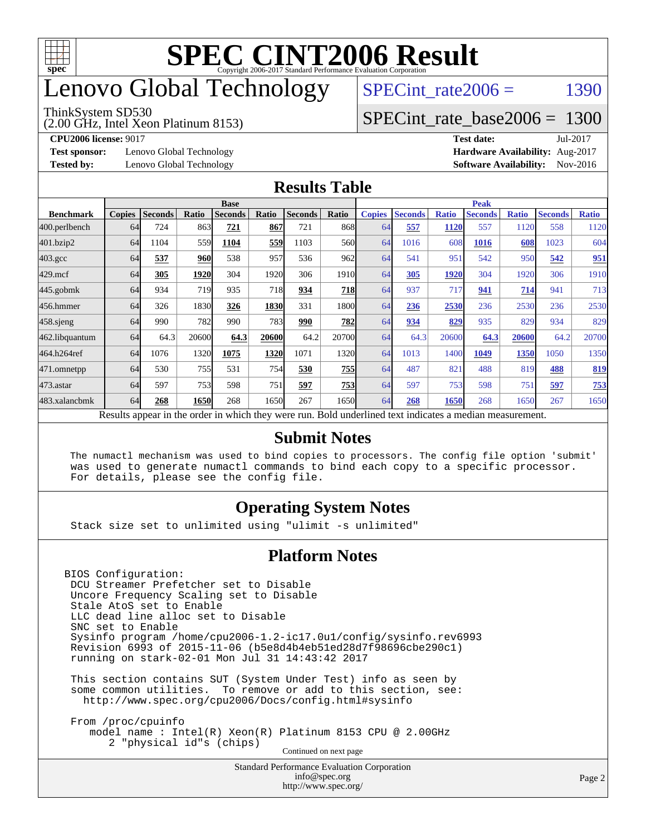

### enovo Global Technology

#### ThinkSystem SD530

(2.00 GHz, Intel Xeon Platinum 8153)

SPECint rate $2006 =$  1390

### [SPECint\\_rate\\_base2006 =](http://www.spec.org/auto/cpu2006/Docs/result-fields.html#SPECintratebase2006) 1300

**[CPU2006 license:](http://www.spec.org/auto/cpu2006/Docs/result-fields.html#CPU2006license)** 9017 **[Test date:](http://www.spec.org/auto/cpu2006/Docs/result-fields.html#Testdate)** Jul-2017

**[Test sponsor:](http://www.spec.org/auto/cpu2006/Docs/result-fields.html#Testsponsor)** Lenovo Global Technology **[Hardware Availability:](http://www.spec.org/auto/cpu2006/Docs/result-fields.html#HardwareAvailability)** Aug-2017

**[Tested by:](http://www.spec.org/auto/cpu2006/Docs/result-fields.html#Testedby)** Lenovo Global Technology **[Software Availability:](http://www.spec.org/auto/cpu2006/Docs/result-fields.html#SoftwareAvailability)** Nov-2016

### **[Results Table](http://www.spec.org/auto/cpu2006/Docs/result-fields.html#ResultsTable)**

|                                                                                                          | <b>Base</b>   |                |            |                |       |                |                   | <b>Peak</b>   |                |              |                |              |                |              |  |
|----------------------------------------------------------------------------------------------------------|---------------|----------------|------------|----------------|-------|----------------|-------------------|---------------|----------------|--------------|----------------|--------------|----------------|--------------|--|
| <b>Benchmark</b>                                                                                         | <b>Copies</b> | <b>Seconds</b> | Ratio      | <b>Seconds</b> | Ratio | <b>Seconds</b> | Ratio             | <b>Copies</b> | <b>Seconds</b> | <b>Ratio</b> | <b>Seconds</b> | <b>Ratio</b> | <b>Seconds</b> | <b>Ratio</b> |  |
| 400.perlbench                                                                                            | 64            | 724            | 863        | 721            | 867   | 721            | 868               | 64            | 557            | 1120         | 557            | 1120         | 558            | 1120         |  |
| 401.bzip2                                                                                                | 64            | 1104           | 559        | 1104           | 559   | 1103           | 560 <sub>l</sub>  | 64            | 1016           | 608          | 1016           | 608          | 1023           | 604          |  |
| $403.\mathrm{gcc}$                                                                                       | 64            | 537            | <b>960</b> | 538            | 957   | 536            | 962l              | 64            | 541            | 951          | 542            | 950          | 542            | 951          |  |
| $429$ .mcf                                                                                               | 64            | 305            | 1920       | 304            | 1920  | 306            | 1910 <sub>l</sub> | 64            | 305            | 1920         | 304            | 1920         | 306            | 1910         |  |
| $445$ .gobm $k$                                                                                          | 64            | 934            | 719        | 935            | 718   | 934            | <b>718</b>        | 64            | 937            | 717          | 941            | 714          | 941            | 713          |  |
| 456.hmmer                                                                                                | 64            | 326            | 1830       | 326            | 1830  | 331            | 1800l             | 64            | 236            | 2530         | 236            | 2530         | 236            | 2530         |  |
| $458$ .sjeng                                                                                             | 64            | 990            | 782        | 990            | 783   | 990            | <b>782</b>        | 64            | 934            | 829          | 935            | 829          | 934            | 829          |  |
| 462.libquantum                                                                                           | 64            | 64.3           | 20600      | 64.3           | 20600 | 64.2           | 20700             | 64            | 64.3           | 20600        | 64.3           | 20600        | 64.2           | 20700        |  |
| 464.h264ref                                                                                              | 64            | 1076           | 1320       | 1075           | 1320  | 1071           | 1320              | 64            | 1013           | 1400         | 1049           | 1350         | 1050           | 1350         |  |
| 471.omnetpp                                                                                              | 64            | 530            | 755        | 531            | 754   | 530            | 755I              | 64            | 487            | 821          | 488            | 819          | 488            | 819          |  |
| $473.$ astar                                                                                             | 64            | 597            | 753        | 598            | 751   | 597            | 753               | 64            | 597            | 753          | 598            | 751          | 597            | 753          |  |
| 483.xalancbmk                                                                                            | 64            | 268            | 1650       | 268            | 1650  | 267            | 16501             | 64            | 268            | 1650         | 268            | 1650         | 267            | 1650         |  |
| Results appear in the order in which they were run. Bold underlined text indicates a median measurement. |               |                |            |                |       |                |                   |               |                |              |                |              |                |              |  |

### **[Submit Notes](http://www.spec.org/auto/cpu2006/Docs/result-fields.html#SubmitNotes)**

 The numactl mechanism was used to bind copies to processors. The config file option 'submit' was used to generate numactl commands to bind each copy to a specific processor. For details, please see the config file.

### **[Operating System Notes](http://www.spec.org/auto/cpu2006/Docs/result-fields.html#OperatingSystemNotes)**

Stack size set to unlimited using "ulimit -s unlimited"

### **[Platform Notes](http://www.spec.org/auto/cpu2006/Docs/result-fields.html#PlatformNotes)**

BIOS Configuration: DCU Streamer Prefetcher set to Disable Uncore Frequency Scaling set to Disable Stale AtoS set to Enable LLC dead line alloc set to Disable SNC set to Enable Sysinfo program /home/cpu2006-1.2-ic17.0u1/config/sysinfo.rev6993 Revision 6993 of 2015-11-06 (b5e8d4b4eb51ed28d7f98696cbe290c1) running on stark-02-01 Mon Jul 31 14:43:42 2017

 This section contains SUT (System Under Test) info as seen by some common utilities. To remove or add to this section, see: <http://www.spec.org/cpu2006/Docs/config.html#sysinfo>

 From /proc/cpuinfo model name : Intel(R) Xeon(R) Platinum 8153 CPU @ 2.00GHz 2 "physical id"s (chips) Continued on next page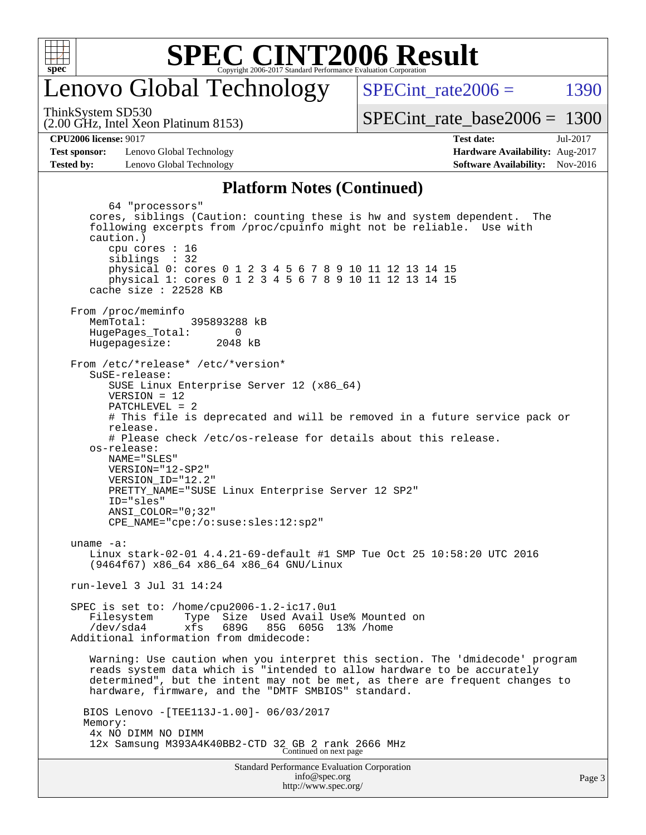

### enovo Global Technology

SPECint rate $2006 =$  1390

(2.00 GHz, Intel Xeon Platinum 8153) ThinkSystem SD530

[SPECint\\_rate\\_base2006 =](http://www.spec.org/auto/cpu2006/Docs/result-fields.html#SPECintratebase2006) 1300

**[Test sponsor:](http://www.spec.org/auto/cpu2006/Docs/result-fields.html#Testsponsor)** Lenovo Global Technology **[Hardware Availability:](http://www.spec.org/auto/cpu2006/Docs/result-fields.html#HardwareAvailability)** Aug-2017 **[Tested by:](http://www.spec.org/auto/cpu2006/Docs/result-fields.html#Testedby)** Lenovo Global Technology **[Software Availability:](http://www.spec.org/auto/cpu2006/Docs/result-fields.html#SoftwareAvailability)** Nov-2016

**[CPU2006 license:](http://www.spec.org/auto/cpu2006/Docs/result-fields.html#CPU2006license)** 9017 **[Test date:](http://www.spec.org/auto/cpu2006/Docs/result-fields.html#Testdate)** Jul-2017

### **[Platform Notes \(Continued\)](http://www.spec.org/auto/cpu2006/Docs/result-fields.html#PlatformNotes)**

Standard Performance Evaluation Corporation 64 "processors" cores, siblings (Caution: counting these is hw and system dependent. The following excerpts from /proc/cpuinfo might not be reliable. Use with caution.) cpu cores : 16 siblings : 32 physical 0: cores 0 1 2 3 4 5 6 7 8 9 10 11 12 13 14 15 physical 1: cores 0 1 2 3 4 5 6 7 8 9 10 11 12 13 14 15 cache size : 22528 KB From /proc/meminfo<br>MemTotal: 395893288 kB HugePages\_Total: 0<br>Hugepagesize: 2048 kB Hugepagesize: From /etc/\*release\* /etc/\*version\* SuSE-release: SUSE Linux Enterprise Server 12 (x86\_64) VERSION = 12 PATCHLEVEL = 2 # This file is deprecated and will be removed in a future service pack or release. # Please check /etc/os-release for details about this release. os-release: NAME="SLES" VERSION="12-SP2" VERSION\_ID="12.2" PRETTY\_NAME="SUSE Linux Enterprise Server 12 SP2" ID="sles" ANSI\_COLOR="0;32" CPE\_NAME="cpe:/o:suse:sles:12:sp2" uname -a: Linux stark-02-01 4.4.21-69-default #1 SMP Tue Oct 25 10:58:20 UTC 2016 (9464f67) x86\_64 x86\_64 x86\_64 GNU/Linux run-level 3 Jul 31 14:24 SPEC is set to: /home/cpu2006-1.2-ic17.0u1 Filesystem Type Size Used Avail Use% Mounted on<br>
/dev/sda4 xfs 689G 85G 605G 13% /home xfs 689G 85G 605G 13% /home Additional information from dmidecode: Warning: Use caution when you interpret this section. The 'dmidecode' program reads system data which is "intended to allow hardware to be accurately determined", but the intent may not be met, as there are frequent changes to hardware, firmware, and the "DMTF SMBIOS" standard. BIOS Lenovo -[TEE113J-1.00]- 06/03/2017 Memory: 4x NO DIMM NO DIMM 12x Samsung M393A4K40BB2-CTD 32 GB 2 rank 2666 MHz Continued on next page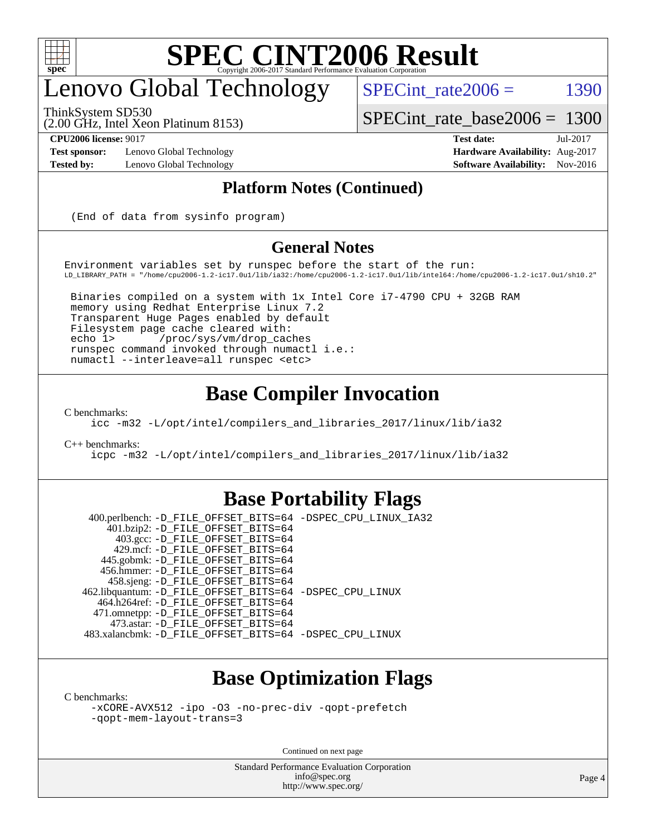

### enovo Global Technology

ThinkSystem SD530

SPECint rate $2006 =$  1390

[SPECint\\_rate\\_base2006 =](http://www.spec.org/auto/cpu2006/Docs/result-fields.html#SPECintratebase2006) 1300

(2.00 GHz, Intel Xeon Platinum 8153)

**[Test sponsor:](http://www.spec.org/auto/cpu2006/Docs/result-fields.html#Testsponsor)** Lenovo Global Technology **[Hardware Availability:](http://www.spec.org/auto/cpu2006/Docs/result-fields.html#HardwareAvailability)** Aug-2017

**[CPU2006 license:](http://www.spec.org/auto/cpu2006/Docs/result-fields.html#CPU2006license)** 9017 **[Test date:](http://www.spec.org/auto/cpu2006/Docs/result-fields.html#Testdate)** Jul-2017 **[Tested by:](http://www.spec.org/auto/cpu2006/Docs/result-fields.html#Testedby)** Lenovo Global Technology **[Software Availability:](http://www.spec.org/auto/cpu2006/Docs/result-fields.html#SoftwareAvailability)** Nov-2016

### **[Platform Notes \(Continued\)](http://www.spec.org/auto/cpu2006/Docs/result-fields.html#PlatformNotes)**

(End of data from sysinfo program)

### **[General Notes](http://www.spec.org/auto/cpu2006/Docs/result-fields.html#GeneralNotes)**

Environment variables set by runspec before the start of the run: LD\_LIBRARY\_PATH = "/home/cpu2006-1.2-ic17.0u1/lib/ia32:/home/cpu2006-1.2-ic17.0u1/lib/intel64:/home/cpu2006-1.2-ic17.0u1/sh10.2"

 Binaries compiled on a system with 1x Intel Core i7-4790 CPU + 32GB RAM memory using Redhat Enterprise Linux 7.2 Transparent Huge Pages enabled by default Filesystem page cache cleared with: echo 1> /proc/sys/vm/drop\_caches runspec command invoked through numactl i.e.: numactl --interleave=all runspec <etc>

### **[Base Compiler Invocation](http://www.spec.org/auto/cpu2006/Docs/result-fields.html#BaseCompilerInvocation)**

[C benchmarks](http://www.spec.org/auto/cpu2006/Docs/result-fields.html#Cbenchmarks):

[icc -m32 -L/opt/intel/compilers\\_and\\_libraries\\_2017/linux/lib/ia32](http://www.spec.org/cpu2006/results/res2017q4/cpu2006-20170918-49668.flags.html#user_CCbase_intel_icc_c29f3ff5a7ed067b11e4ec10a03f03ae)

[C++ benchmarks:](http://www.spec.org/auto/cpu2006/Docs/result-fields.html#CXXbenchmarks)

[icpc -m32 -L/opt/intel/compilers\\_and\\_libraries\\_2017/linux/lib/ia32](http://www.spec.org/cpu2006/results/res2017q4/cpu2006-20170918-49668.flags.html#user_CXXbase_intel_icpc_8c35c7808b62dab9ae41a1aa06361b6b)

### **[Base Portability Flags](http://www.spec.org/auto/cpu2006/Docs/result-fields.html#BasePortabilityFlags)**

 400.perlbench: [-D\\_FILE\\_OFFSET\\_BITS=64](http://www.spec.org/cpu2006/results/res2017q4/cpu2006-20170918-49668.flags.html#user_basePORTABILITY400_perlbench_file_offset_bits_64_438cf9856305ebd76870a2c6dc2689ab) [-DSPEC\\_CPU\\_LINUX\\_IA32](http://www.spec.org/cpu2006/results/res2017q4/cpu2006-20170918-49668.flags.html#b400.perlbench_baseCPORTABILITY_DSPEC_CPU_LINUX_IA32) 401.bzip2: [-D\\_FILE\\_OFFSET\\_BITS=64](http://www.spec.org/cpu2006/results/res2017q4/cpu2006-20170918-49668.flags.html#user_basePORTABILITY401_bzip2_file_offset_bits_64_438cf9856305ebd76870a2c6dc2689ab) 403.gcc: [-D\\_FILE\\_OFFSET\\_BITS=64](http://www.spec.org/cpu2006/results/res2017q4/cpu2006-20170918-49668.flags.html#user_basePORTABILITY403_gcc_file_offset_bits_64_438cf9856305ebd76870a2c6dc2689ab) 429.mcf: [-D\\_FILE\\_OFFSET\\_BITS=64](http://www.spec.org/cpu2006/results/res2017q4/cpu2006-20170918-49668.flags.html#user_basePORTABILITY429_mcf_file_offset_bits_64_438cf9856305ebd76870a2c6dc2689ab) 445.gobmk: [-D\\_FILE\\_OFFSET\\_BITS=64](http://www.spec.org/cpu2006/results/res2017q4/cpu2006-20170918-49668.flags.html#user_basePORTABILITY445_gobmk_file_offset_bits_64_438cf9856305ebd76870a2c6dc2689ab) 456.hmmer: [-D\\_FILE\\_OFFSET\\_BITS=64](http://www.spec.org/cpu2006/results/res2017q4/cpu2006-20170918-49668.flags.html#user_basePORTABILITY456_hmmer_file_offset_bits_64_438cf9856305ebd76870a2c6dc2689ab) 458.sjeng: [-D\\_FILE\\_OFFSET\\_BITS=64](http://www.spec.org/cpu2006/results/res2017q4/cpu2006-20170918-49668.flags.html#user_basePORTABILITY458_sjeng_file_offset_bits_64_438cf9856305ebd76870a2c6dc2689ab) 462.libquantum: [-D\\_FILE\\_OFFSET\\_BITS=64](http://www.spec.org/cpu2006/results/res2017q4/cpu2006-20170918-49668.flags.html#user_basePORTABILITY462_libquantum_file_offset_bits_64_438cf9856305ebd76870a2c6dc2689ab) [-DSPEC\\_CPU\\_LINUX](http://www.spec.org/cpu2006/results/res2017q4/cpu2006-20170918-49668.flags.html#b462.libquantum_baseCPORTABILITY_DSPEC_CPU_LINUX) 464.h264ref: [-D\\_FILE\\_OFFSET\\_BITS=64](http://www.spec.org/cpu2006/results/res2017q4/cpu2006-20170918-49668.flags.html#user_basePORTABILITY464_h264ref_file_offset_bits_64_438cf9856305ebd76870a2c6dc2689ab) 471.omnetpp: [-D\\_FILE\\_OFFSET\\_BITS=64](http://www.spec.org/cpu2006/results/res2017q4/cpu2006-20170918-49668.flags.html#user_basePORTABILITY471_omnetpp_file_offset_bits_64_438cf9856305ebd76870a2c6dc2689ab) 473.astar: [-D\\_FILE\\_OFFSET\\_BITS=64](http://www.spec.org/cpu2006/results/res2017q4/cpu2006-20170918-49668.flags.html#user_basePORTABILITY473_astar_file_offset_bits_64_438cf9856305ebd76870a2c6dc2689ab) 483.xalancbmk: [-D\\_FILE\\_OFFSET\\_BITS=64](http://www.spec.org/cpu2006/results/res2017q4/cpu2006-20170918-49668.flags.html#user_basePORTABILITY483_xalancbmk_file_offset_bits_64_438cf9856305ebd76870a2c6dc2689ab) [-DSPEC\\_CPU\\_LINUX](http://www.spec.org/cpu2006/results/res2017q4/cpu2006-20170918-49668.flags.html#b483.xalancbmk_baseCXXPORTABILITY_DSPEC_CPU_LINUX)

### **[Base Optimization Flags](http://www.spec.org/auto/cpu2006/Docs/result-fields.html#BaseOptimizationFlags)**

[C benchmarks](http://www.spec.org/auto/cpu2006/Docs/result-fields.html#Cbenchmarks):

[-xCORE-AVX512](http://www.spec.org/cpu2006/results/res2017q4/cpu2006-20170918-49668.flags.html#user_CCbase_f-xCORE-AVX512) [-ipo](http://www.spec.org/cpu2006/results/res2017q4/cpu2006-20170918-49668.flags.html#user_CCbase_f-ipo) [-O3](http://www.spec.org/cpu2006/results/res2017q4/cpu2006-20170918-49668.flags.html#user_CCbase_f-O3) [-no-prec-div](http://www.spec.org/cpu2006/results/res2017q4/cpu2006-20170918-49668.flags.html#user_CCbase_f-no-prec-div) [-qopt-prefetch](http://www.spec.org/cpu2006/results/res2017q4/cpu2006-20170918-49668.flags.html#user_CCbase_f-qopt-prefetch) [-qopt-mem-layout-trans=3](http://www.spec.org/cpu2006/results/res2017q4/cpu2006-20170918-49668.flags.html#user_CCbase_f-qopt-mem-layout-trans_170f5be61cd2cedc9b54468c59262d5d)

Continued on next page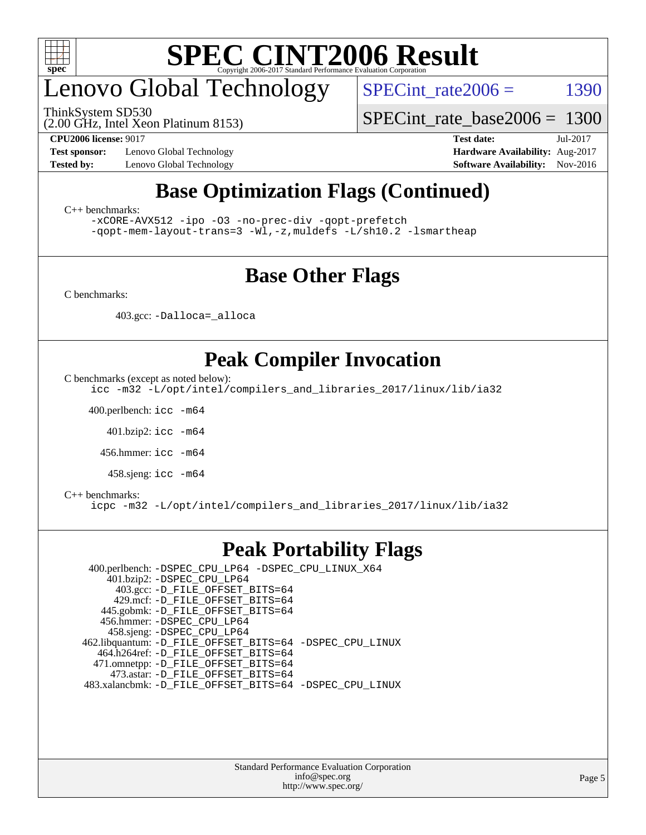

### enovo Global Technology

ThinkSystem SD530

SPECint rate $2006 =$  1390

(2.00 GHz, Intel Xeon Platinum 8153)

[SPECint\\_rate\\_base2006 =](http://www.spec.org/auto/cpu2006/Docs/result-fields.html#SPECintratebase2006) 1300

**[Test sponsor:](http://www.spec.org/auto/cpu2006/Docs/result-fields.html#Testsponsor)** Lenovo Global Technology **[Hardware Availability:](http://www.spec.org/auto/cpu2006/Docs/result-fields.html#HardwareAvailability)** Aug-2017

**[CPU2006 license:](http://www.spec.org/auto/cpu2006/Docs/result-fields.html#CPU2006license)** 9017 **[Test date:](http://www.spec.org/auto/cpu2006/Docs/result-fields.html#Testdate)** Jul-2017 **[Tested by:](http://www.spec.org/auto/cpu2006/Docs/result-fields.html#Testedby)** Lenovo Global Technology **[Software Availability:](http://www.spec.org/auto/cpu2006/Docs/result-fields.html#SoftwareAvailability)** Nov-2016

### **[Base Optimization Flags \(Continued\)](http://www.spec.org/auto/cpu2006/Docs/result-fields.html#BaseOptimizationFlags)**

[C++ benchmarks:](http://www.spec.org/auto/cpu2006/Docs/result-fields.html#CXXbenchmarks)

[-xCORE-AVX512](http://www.spec.org/cpu2006/results/res2017q4/cpu2006-20170918-49668.flags.html#user_CXXbase_f-xCORE-AVX512) [-ipo](http://www.spec.org/cpu2006/results/res2017q4/cpu2006-20170918-49668.flags.html#user_CXXbase_f-ipo) [-O3](http://www.spec.org/cpu2006/results/res2017q4/cpu2006-20170918-49668.flags.html#user_CXXbase_f-O3) [-no-prec-div](http://www.spec.org/cpu2006/results/res2017q4/cpu2006-20170918-49668.flags.html#user_CXXbase_f-no-prec-div) [-qopt-prefetch](http://www.spec.org/cpu2006/results/res2017q4/cpu2006-20170918-49668.flags.html#user_CXXbase_f-qopt-prefetch) [-qopt-mem-layout-trans=3](http://www.spec.org/cpu2006/results/res2017q4/cpu2006-20170918-49668.flags.html#user_CXXbase_f-qopt-mem-layout-trans_170f5be61cd2cedc9b54468c59262d5d) [-Wl,-z,muldefs](http://www.spec.org/cpu2006/results/res2017q4/cpu2006-20170918-49668.flags.html#user_CXXbase_link_force_multiple1_74079c344b956b9658436fd1b6dd3a8a) [-L/sh10.2 -lsmartheap](http://www.spec.org/cpu2006/results/res2017q4/cpu2006-20170918-49668.flags.html#user_CXXbase_SmartHeap_b831f2d313e2fffa6dfe3f00ffc1f1c0)

### **[Base Other Flags](http://www.spec.org/auto/cpu2006/Docs/result-fields.html#BaseOtherFlags)**

[C benchmarks](http://www.spec.org/auto/cpu2006/Docs/result-fields.html#Cbenchmarks):

403.gcc: [-Dalloca=\\_alloca](http://www.spec.org/cpu2006/results/res2017q4/cpu2006-20170918-49668.flags.html#b403.gcc_baseEXTRA_CFLAGS_Dalloca_be3056838c12de2578596ca5467af7f3)

### **[Peak Compiler Invocation](http://www.spec.org/auto/cpu2006/Docs/result-fields.html#PeakCompilerInvocation)**

[C benchmarks \(except as noted below\)](http://www.spec.org/auto/cpu2006/Docs/result-fields.html#Cbenchmarksexceptasnotedbelow):

[icc -m32 -L/opt/intel/compilers\\_and\\_libraries\\_2017/linux/lib/ia32](http://www.spec.org/cpu2006/results/res2017q4/cpu2006-20170918-49668.flags.html#user_CCpeak_intel_icc_c29f3ff5a7ed067b11e4ec10a03f03ae)

400.perlbench: [icc -m64](http://www.spec.org/cpu2006/results/res2017q4/cpu2006-20170918-49668.flags.html#user_peakCCLD400_perlbench_intel_icc_64bit_bda6cc9af1fdbb0edc3795bac97ada53)

401.bzip2: [icc -m64](http://www.spec.org/cpu2006/results/res2017q4/cpu2006-20170918-49668.flags.html#user_peakCCLD401_bzip2_intel_icc_64bit_bda6cc9af1fdbb0edc3795bac97ada53)

456.hmmer: [icc -m64](http://www.spec.org/cpu2006/results/res2017q4/cpu2006-20170918-49668.flags.html#user_peakCCLD456_hmmer_intel_icc_64bit_bda6cc9af1fdbb0edc3795bac97ada53)

458.sjeng: [icc -m64](http://www.spec.org/cpu2006/results/res2017q4/cpu2006-20170918-49668.flags.html#user_peakCCLD458_sjeng_intel_icc_64bit_bda6cc9af1fdbb0edc3795bac97ada53)

#### [C++ benchmarks:](http://www.spec.org/auto/cpu2006/Docs/result-fields.html#CXXbenchmarks)

[icpc -m32 -L/opt/intel/compilers\\_and\\_libraries\\_2017/linux/lib/ia32](http://www.spec.org/cpu2006/results/res2017q4/cpu2006-20170918-49668.flags.html#user_CXXpeak_intel_icpc_8c35c7808b62dab9ae41a1aa06361b6b)

### **[Peak Portability Flags](http://www.spec.org/auto/cpu2006/Docs/result-fields.html#PeakPortabilityFlags)**

 400.perlbench: [-DSPEC\\_CPU\\_LP64](http://www.spec.org/cpu2006/results/res2017q4/cpu2006-20170918-49668.flags.html#b400.perlbench_peakCPORTABILITY_DSPEC_CPU_LP64) [-DSPEC\\_CPU\\_LINUX\\_X64](http://www.spec.org/cpu2006/results/res2017q4/cpu2006-20170918-49668.flags.html#b400.perlbench_peakCPORTABILITY_DSPEC_CPU_LINUX_X64) 401.bzip2: [-DSPEC\\_CPU\\_LP64](http://www.spec.org/cpu2006/results/res2017q4/cpu2006-20170918-49668.flags.html#suite_peakCPORTABILITY401_bzip2_DSPEC_CPU_LP64) 403.gcc: [-D\\_FILE\\_OFFSET\\_BITS=64](http://www.spec.org/cpu2006/results/res2017q4/cpu2006-20170918-49668.flags.html#user_peakPORTABILITY403_gcc_file_offset_bits_64_438cf9856305ebd76870a2c6dc2689ab) 429.mcf: [-D\\_FILE\\_OFFSET\\_BITS=64](http://www.spec.org/cpu2006/results/res2017q4/cpu2006-20170918-49668.flags.html#user_peakPORTABILITY429_mcf_file_offset_bits_64_438cf9856305ebd76870a2c6dc2689ab) 445.gobmk: [-D\\_FILE\\_OFFSET\\_BITS=64](http://www.spec.org/cpu2006/results/res2017q4/cpu2006-20170918-49668.flags.html#user_peakPORTABILITY445_gobmk_file_offset_bits_64_438cf9856305ebd76870a2c6dc2689ab) 456.hmmer: [-DSPEC\\_CPU\\_LP64](http://www.spec.org/cpu2006/results/res2017q4/cpu2006-20170918-49668.flags.html#suite_peakCPORTABILITY456_hmmer_DSPEC_CPU_LP64) 458.sjeng: [-DSPEC\\_CPU\\_LP64](http://www.spec.org/cpu2006/results/res2017q4/cpu2006-20170918-49668.flags.html#suite_peakCPORTABILITY458_sjeng_DSPEC_CPU_LP64) 462.libquantum: [-D\\_FILE\\_OFFSET\\_BITS=64](http://www.spec.org/cpu2006/results/res2017q4/cpu2006-20170918-49668.flags.html#user_peakPORTABILITY462_libquantum_file_offset_bits_64_438cf9856305ebd76870a2c6dc2689ab) [-DSPEC\\_CPU\\_LINUX](http://www.spec.org/cpu2006/results/res2017q4/cpu2006-20170918-49668.flags.html#b462.libquantum_peakCPORTABILITY_DSPEC_CPU_LINUX) 464.h264ref: [-D\\_FILE\\_OFFSET\\_BITS=64](http://www.spec.org/cpu2006/results/res2017q4/cpu2006-20170918-49668.flags.html#user_peakPORTABILITY464_h264ref_file_offset_bits_64_438cf9856305ebd76870a2c6dc2689ab) 471.omnetpp: [-D\\_FILE\\_OFFSET\\_BITS=64](http://www.spec.org/cpu2006/results/res2017q4/cpu2006-20170918-49668.flags.html#user_peakPORTABILITY471_omnetpp_file_offset_bits_64_438cf9856305ebd76870a2c6dc2689ab) 473.astar: [-D\\_FILE\\_OFFSET\\_BITS=64](http://www.spec.org/cpu2006/results/res2017q4/cpu2006-20170918-49668.flags.html#user_peakPORTABILITY473_astar_file_offset_bits_64_438cf9856305ebd76870a2c6dc2689ab) 483.xalancbmk: [-D\\_FILE\\_OFFSET\\_BITS=64](http://www.spec.org/cpu2006/results/res2017q4/cpu2006-20170918-49668.flags.html#user_peakPORTABILITY483_xalancbmk_file_offset_bits_64_438cf9856305ebd76870a2c6dc2689ab) [-DSPEC\\_CPU\\_LINUX](http://www.spec.org/cpu2006/results/res2017q4/cpu2006-20170918-49668.flags.html#b483.xalancbmk_peakCXXPORTABILITY_DSPEC_CPU_LINUX)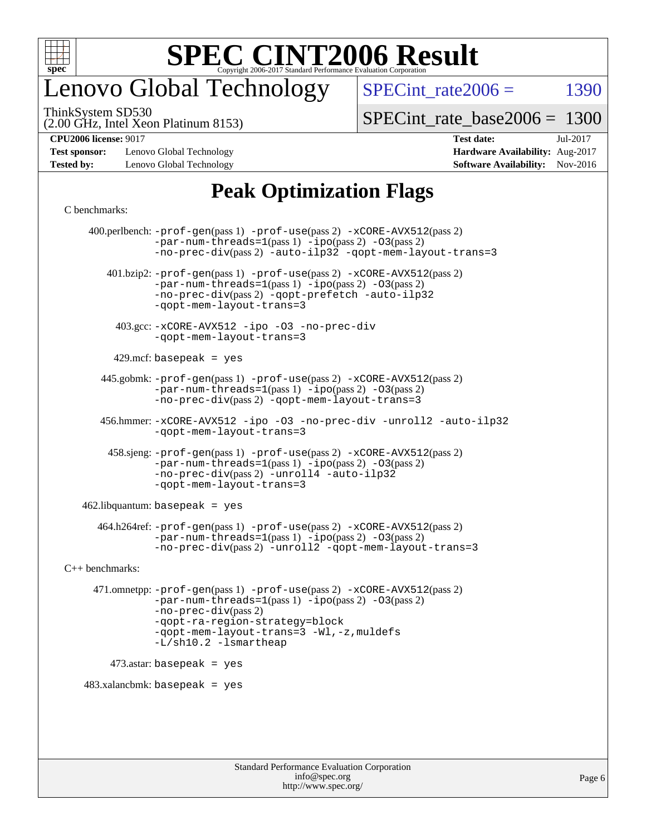

### enovo Global Technology

SPECint rate $2006 =$  1390

(2.00 GHz, Intel Xeon Platinum 8153) ThinkSystem SD530

[SPECint\\_rate\\_base2006 =](http://www.spec.org/auto/cpu2006/Docs/result-fields.html#SPECintratebase2006) 1300

**[Test sponsor:](http://www.spec.org/auto/cpu2006/Docs/result-fields.html#Testsponsor)** Lenovo Global Technology **[Hardware Availability:](http://www.spec.org/auto/cpu2006/Docs/result-fields.html#HardwareAvailability)** Aug-2017 **[Tested by:](http://www.spec.org/auto/cpu2006/Docs/result-fields.html#Testedby)** Lenovo Global Technology **[Software Availability:](http://www.spec.org/auto/cpu2006/Docs/result-fields.html#SoftwareAvailability)** Nov-2016

### **[CPU2006 license:](http://www.spec.org/auto/cpu2006/Docs/result-fields.html#CPU2006license)** 9017 **[Test date:](http://www.spec.org/auto/cpu2006/Docs/result-fields.html#Testdate)** Jul-2017

### **[Peak Optimization Flags](http://www.spec.org/auto/cpu2006/Docs/result-fields.html#PeakOptimizationFlags)**

#### [C benchmarks](http://www.spec.org/auto/cpu2006/Docs/result-fields.html#Cbenchmarks):

 400.perlbench: [-prof-gen](http://www.spec.org/cpu2006/results/res2017q4/cpu2006-20170918-49668.flags.html#user_peakPASS1_CFLAGSPASS1_LDCFLAGS400_perlbench_prof_gen_e43856698f6ca7b7e442dfd80e94a8fc)(pass 1) [-prof-use](http://www.spec.org/cpu2006/results/res2017q4/cpu2006-20170918-49668.flags.html#user_peakPASS2_CFLAGSPASS2_LDCFLAGS400_perlbench_prof_use_bccf7792157ff70d64e32fe3e1250b55)(pass 2) [-xCORE-AVX512](http://www.spec.org/cpu2006/results/res2017q4/cpu2006-20170918-49668.flags.html#user_peakPASS2_CFLAGSPASS2_LDCFLAGS400_perlbench_f-xCORE-AVX512)(pass 2)  $-par-num-threads=1(pass 1) -ipo(pass 2) -O3(pass 2)$  $-par-num-threads=1(pass 1) -ipo(pass 2) -O3(pass 2)$  $-par-num-threads=1(pass 1) -ipo(pass 2) -O3(pass 2)$  $-par-num-threads=1(pass 1) -ipo(pass 2) -O3(pass 2)$  $-par-num-threads=1(pass 1) -ipo(pass 2) -O3(pass 2)$  $-par-num-threads=1(pass 1) -ipo(pass 2) -O3(pass 2)$ [-no-prec-div](http://www.spec.org/cpu2006/results/res2017q4/cpu2006-20170918-49668.flags.html#user_peakPASS2_CFLAGSPASS2_LDCFLAGS400_perlbench_f-no-prec-div)(pass 2) [-auto-ilp32](http://www.spec.org/cpu2006/results/res2017q4/cpu2006-20170918-49668.flags.html#user_peakCOPTIMIZE400_perlbench_f-auto-ilp32) [-qopt-mem-layout-trans=3](http://www.spec.org/cpu2006/results/res2017q4/cpu2006-20170918-49668.flags.html#user_peakCOPTIMIZE400_perlbench_f-qopt-mem-layout-trans_170f5be61cd2cedc9b54468c59262d5d) 401.bzip2: [-prof-gen](http://www.spec.org/cpu2006/results/res2017q4/cpu2006-20170918-49668.flags.html#user_peakPASS1_CFLAGSPASS1_LDCFLAGS401_bzip2_prof_gen_e43856698f6ca7b7e442dfd80e94a8fc)(pass 1) [-prof-use](http://www.spec.org/cpu2006/results/res2017q4/cpu2006-20170918-49668.flags.html#user_peakPASS2_CFLAGSPASS2_LDCFLAGS401_bzip2_prof_use_bccf7792157ff70d64e32fe3e1250b55)(pass 2) [-xCORE-AVX512](http://www.spec.org/cpu2006/results/res2017q4/cpu2006-20170918-49668.flags.html#user_peakPASS2_CFLAGSPASS2_LDCFLAGS401_bzip2_f-xCORE-AVX512)(pass 2) [-par-num-threads=1](http://www.spec.org/cpu2006/results/res2017q4/cpu2006-20170918-49668.flags.html#user_peakPASS1_CFLAGSPASS1_LDCFLAGS401_bzip2_par_num_threads_786a6ff141b4e9e90432e998842df6c2)(pass 1) [-ipo](http://www.spec.org/cpu2006/results/res2017q4/cpu2006-20170918-49668.flags.html#user_peakPASS2_CFLAGSPASS2_LDCFLAGS401_bzip2_f-ipo)(pass 2) [-O3](http://www.spec.org/cpu2006/results/res2017q4/cpu2006-20170918-49668.flags.html#user_peakPASS2_CFLAGSPASS2_LDCFLAGS401_bzip2_f-O3)(pass 2) [-no-prec-div](http://www.spec.org/cpu2006/results/res2017q4/cpu2006-20170918-49668.flags.html#user_peakPASS2_CFLAGSPASS2_LDCFLAGS401_bzip2_f-no-prec-div)(pass 2) [-qopt-prefetch](http://www.spec.org/cpu2006/results/res2017q4/cpu2006-20170918-49668.flags.html#user_peakCOPTIMIZE401_bzip2_f-qopt-prefetch) [-auto-ilp32](http://www.spec.org/cpu2006/results/res2017q4/cpu2006-20170918-49668.flags.html#user_peakCOPTIMIZE401_bzip2_f-auto-ilp32) [-qopt-mem-layout-trans=3](http://www.spec.org/cpu2006/results/res2017q4/cpu2006-20170918-49668.flags.html#user_peakCOPTIMIZE401_bzip2_f-qopt-mem-layout-trans_170f5be61cd2cedc9b54468c59262d5d) 403.gcc: [-xCORE-AVX512](http://www.spec.org/cpu2006/results/res2017q4/cpu2006-20170918-49668.flags.html#user_peakOPTIMIZE403_gcc_f-xCORE-AVX512) [-ipo](http://www.spec.org/cpu2006/results/res2017q4/cpu2006-20170918-49668.flags.html#user_peakOPTIMIZE403_gcc_f-ipo) [-O3](http://www.spec.org/cpu2006/results/res2017q4/cpu2006-20170918-49668.flags.html#user_peakOPTIMIZE403_gcc_f-O3) [-no-prec-div](http://www.spec.org/cpu2006/results/res2017q4/cpu2006-20170918-49668.flags.html#user_peakOPTIMIZE403_gcc_f-no-prec-div) [-qopt-mem-layout-trans=3](http://www.spec.org/cpu2006/results/res2017q4/cpu2006-20170918-49668.flags.html#user_peakCOPTIMIZE403_gcc_f-qopt-mem-layout-trans_170f5be61cd2cedc9b54468c59262d5d)  $429$ .mcf: basepeak = yes 445.gobmk: [-prof-gen](http://www.spec.org/cpu2006/results/res2017q4/cpu2006-20170918-49668.flags.html#user_peakPASS1_CFLAGSPASS1_LDCFLAGS445_gobmk_prof_gen_e43856698f6ca7b7e442dfd80e94a8fc)(pass 1) [-prof-use](http://www.spec.org/cpu2006/results/res2017q4/cpu2006-20170918-49668.flags.html#user_peakPASS2_CFLAGSPASS2_LDCFLAGSPASS2_LDFLAGS445_gobmk_prof_use_bccf7792157ff70d64e32fe3e1250b55)(pass 2) [-xCORE-AVX512](http://www.spec.org/cpu2006/results/res2017q4/cpu2006-20170918-49668.flags.html#user_peakPASS2_CFLAGSPASS2_LDCFLAGSPASS2_LDFLAGS445_gobmk_f-xCORE-AVX512)(pass 2) [-par-num-threads=1](http://www.spec.org/cpu2006/results/res2017q4/cpu2006-20170918-49668.flags.html#user_peakPASS1_CFLAGSPASS1_LDCFLAGS445_gobmk_par_num_threads_786a6ff141b4e9e90432e998842df6c2)(pass 1) [-ipo](http://www.spec.org/cpu2006/results/res2017q4/cpu2006-20170918-49668.flags.html#user_peakPASS2_LDCFLAGS445_gobmk_f-ipo)(pass 2) [-O3](http://www.spec.org/cpu2006/results/res2017q4/cpu2006-20170918-49668.flags.html#user_peakPASS2_LDCFLAGS445_gobmk_f-O3)(pass 2) [-no-prec-div](http://www.spec.org/cpu2006/results/res2017q4/cpu2006-20170918-49668.flags.html#user_peakPASS2_LDCFLAGS445_gobmk_f-no-prec-div)(pass 2) [-qopt-mem-layout-trans=3](http://www.spec.org/cpu2006/results/res2017q4/cpu2006-20170918-49668.flags.html#user_peakCOPTIMIZE445_gobmk_f-qopt-mem-layout-trans_170f5be61cd2cedc9b54468c59262d5d) 456.hmmer: [-xCORE-AVX512](http://www.spec.org/cpu2006/results/res2017q4/cpu2006-20170918-49668.flags.html#user_peakOPTIMIZE456_hmmer_f-xCORE-AVX512) [-ipo](http://www.spec.org/cpu2006/results/res2017q4/cpu2006-20170918-49668.flags.html#user_peakOPTIMIZE456_hmmer_f-ipo) [-O3](http://www.spec.org/cpu2006/results/res2017q4/cpu2006-20170918-49668.flags.html#user_peakOPTIMIZE456_hmmer_f-O3) [-no-prec-div](http://www.spec.org/cpu2006/results/res2017q4/cpu2006-20170918-49668.flags.html#user_peakOPTIMIZE456_hmmer_f-no-prec-div) [-unroll2](http://www.spec.org/cpu2006/results/res2017q4/cpu2006-20170918-49668.flags.html#user_peakCOPTIMIZE456_hmmer_f-unroll_784dae83bebfb236979b41d2422d7ec2) [-auto-ilp32](http://www.spec.org/cpu2006/results/res2017q4/cpu2006-20170918-49668.flags.html#user_peakCOPTIMIZE456_hmmer_f-auto-ilp32) [-qopt-mem-layout-trans=3](http://www.spec.org/cpu2006/results/res2017q4/cpu2006-20170918-49668.flags.html#user_peakCOPTIMIZE456_hmmer_f-qopt-mem-layout-trans_170f5be61cd2cedc9b54468c59262d5d) 458.sjeng: [-prof-gen](http://www.spec.org/cpu2006/results/res2017q4/cpu2006-20170918-49668.flags.html#user_peakPASS1_CFLAGSPASS1_LDCFLAGS458_sjeng_prof_gen_e43856698f6ca7b7e442dfd80e94a8fc)(pass 1) [-prof-use](http://www.spec.org/cpu2006/results/res2017q4/cpu2006-20170918-49668.flags.html#user_peakPASS2_CFLAGSPASS2_LDCFLAGS458_sjeng_prof_use_bccf7792157ff70d64e32fe3e1250b55)(pass 2) [-xCORE-AVX512](http://www.spec.org/cpu2006/results/res2017q4/cpu2006-20170918-49668.flags.html#user_peakPASS2_CFLAGSPASS2_LDCFLAGS458_sjeng_f-xCORE-AVX512)(pass 2) [-par-num-threads=1](http://www.spec.org/cpu2006/results/res2017q4/cpu2006-20170918-49668.flags.html#user_peakPASS1_CFLAGSPASS1_LDCFLAGS458_sjeng_par_num_threads_786a6ff141b4e9e90432e998842df6c2)(pass 1) [-ipo](http://www.spec.org/cpu2006/results/res2017q4/cpu2006-20170918-49668.flags.html#user_peakPASS2_CFLAGSPASS2_LDCFLAGS458_sjeng_f-ipo)(pass 2) [-O3](http://www.spec.org/cpu2006/results/res2017q4/cpu2006-20170918-49668.flags.html#user_peakPASS2_CFLAGSPASS2_LDCFLAGS458_sjeng_f-O3)(pass 2) [-no-prec-div](http://www.spec.org/cpu2006/results/res2017q4/cpu2006-20170918-49668.flags.html#user_peakPASS2_CFLAGSPASS2_LDCFLAGS458_sjeng_f-no-prec-div)(pass 2) [-unroll4](http://www.spec.org/cpu2006/results/res2017q4/cpu2006-20170918-49668.flags.html#user_peakCOPTIMIZE458_sjeng_f-unroll_4e5e4ed65b7fd20bdcd365bec371b81f) [-auto-ilp32](http://www.spec.org/cpu2006/results/res2017q4/cpu2006-20170918-49668.flags.html#user_peakCOPTIMIZE458_sjeng_f-auto-ilp32) [-qopt-mem-layout-trans=3](http://www.spec.org/cpu2006/results/res2017q4/cpu2006-20170918-49668.flags.html#user_peakCOPTIMIZE458_sjeng_f-qopt-mem-layout-trans_170f5be61cd2cedc9b54468c59262d5d)  $462$ .libquantum: basepeak = yes 464.h264ref: [-prof-gen](http://www.spec.org/cpu2006/results/res2017q4/cpu2006-20170918-49668.flags.html#user_peakPASS1_CFLAGSPASS1_LDCFLAGS464_h264ref_prof_gen_e43856698f6ca7b7e442dfd80e94a8fc)(pass 1) [-prof-use](http://www.spec.org/cpu2006/results/res2017q4/cpu2006-20170918-49668.flags.html#user_peakPASS2_CFLAGSPASS2_LDCFLAGS464_h264ref_prof_use_bccf7792157ff70d64e32fe3e1250b55)(pass 2) [-xCORE-AVX512](http://www.spec.org/cpu2006/results/res2017q4/cpu2006-20170918-49668.flags.html#user_peakPASS2_CFLAGSPASS2_LDCFLAGS464_h264ref_f-xCORE-AVX512)(pass 2) [-par-num-threads=1](http://www.spec.org/cpu2006/results/res2017q4/cpu2006-20170918-49668.flags.html#user_peakPASS1_CFLAGSPASS1_LDCFLAGS464_h264ref_par_num_threads_786a6ff141b4e9e90432e998842df6c2)(pass 1) [-ipo](http://www.spec.org/cpu2006/results/res2017q4/cpu2006-20170918-49668.flags.html#user_peakPASS2_CFLAGSPASS2_LDCFLAGS464_h264ref_f-ipo)(pass 2) [-O3](http://www.spec.org/cpu2006/results/res2017q4/cpu2006-20170918-49668.flags.html#user_peakPASS2_CFLAGSPASS2_LDCFLAGS464_h264ref_f-O3)(pass 2) [-no-prec-div](http://www.spec.org/cpu2006/results/res2017q4/cpu2006-20170918-49668.flags.html#user_peakPASS2_CFLAGSPASS2_LDCFLAGS464_h264ref_f-no-prec-div)(pass 2) [-unroll2](http://www.spec.org/cpu2006/results/res2017q4/cpu2006-20170918-49668.flags.html#user_peakCOPTIMIZE464_h264ref_f-unroll_784dae83bebfb236979b41d2422d7ec2) [-qopt-mem-layout-trans=3](http://www.spec.org/cpu2006/results/res2017q4/cpu2006-20170918-49668.flags.html#user_peakCOPTIMIZE464_h264ref_f-qopt-mem-layout-trans_170f5be61cd2cedc9b54468c59262d5d) [C++ benchmarks:](http://www.spec.org/auto/cpu2006/Docs/result-fields.html#CXXbenchmarks) 471.omnetpp: [-prof-gen](http://www.spec.org/cpu2006/results/res2017q4/cpu2006-20170918-49668.flags.html#user_peakPASS1_CXXFLAGSPASS1_LDCXXFLAGS471_omnetpp_prof_gen_e43856698f6ca7b7e442dfd80e94a8fc)(pass 1) [-prof-use](http://www.spec.org/cpu2006/results/res2017q4/cpu2006-20170918-49668.flags.html#user_peakPASS2_CXXFLAGSPASS2_LDCXXFLAGS471_omnetpp_prof_use_bccf7792157ff70d64e32fe3e1250b55)(pass 2) [-xCORE-AVX512](http://www.spec.org/cpu2006/results/res2017q4/cpu2006-20170918-49668.flags.html#user_peakPASS2_CXXFLAGSPASS2_LDCXXFLAGS471_omnetpp_f-xCORE-AVX512)(pass 2) [-par-num-threads=1](http://www.spec.org/cpu2006/results/res2017q4/cpu2006-20170918-49668.flags.html#user_peakPASS1_CXXFLAGSPASS1_LDCXXFLAGS471_omnetpp_par_num_threads_786a6ff141b4e9e90432e998842df6c2)(pass 1) [-ipo](http://www.spec.org/cpu2006/results/res2017q4/cpu2006-20170918-49668.flags.html#user_peakPASS2_CXXFLAGSPASS2_LDCXXFLAGS471_omnetpp_f-ipo)(pass 2) [-O3](http://www.spec.org/cpu2006/results/res2017q4/cpu2006-20170918-49668.flags.html#user_peakPASS2_CXXFLAGSPASS2_LDCXXFLAGS471_omnetpp_f-O3)(pass 2) [-no-prec-div](http://www.spec.org/cpu2006/results/res2017q4/cpu2006-20170918-49668.flags.html#user_peakPASS2_CXXFLAGSPASS2_LDCXXFLAGS471_omnetpp_f-no-prec-div)(pass 2) [-qopt-ra-region-strategy=block](http://www.spec.org/cpu2006/results/res2017q4/cpu2006-20170918-49668.flags.html#user_peakCXXOPTIMIZE471_omnetpp_f-qopt-ra-region-strategy_430aa8f7c220cbde92ae827fa8d9be32)  [-qopt-mem-layout-trans=3](http://www.spec.org/cpu2006/results/res2017q4/cpu2006-20170918-49668.flags.html#user_peakCXXOPTIMIZE471_omnetpp_f-qopt-mem-layout-trans_170f5be61cd2cedc9b54468c59262d5d) [-Wl,-z,muldefs](http://www.spec.org/cpu2006/results/res2017q4/cpu2006-20170918-49668.flags.html#user_peakEXTRA_LDFLAGS471_omnetpp_link_force_multiple1_74079c344b956b9658436fd1b6dd3a8a) [-L/sh10.2 -lsmartheap](http://www.spec.org/cpu2006/results/res2017q4/cpu2006-20170918-49668.flags.html#user_peakEXTRA_LIBS471_omnetpp_SmartHeap_b831f2d313e2fffa6dfe3f00ffc1f1c0) 473.astar: basepeak = yes  $483.xalanchmk: basepeak = yes$